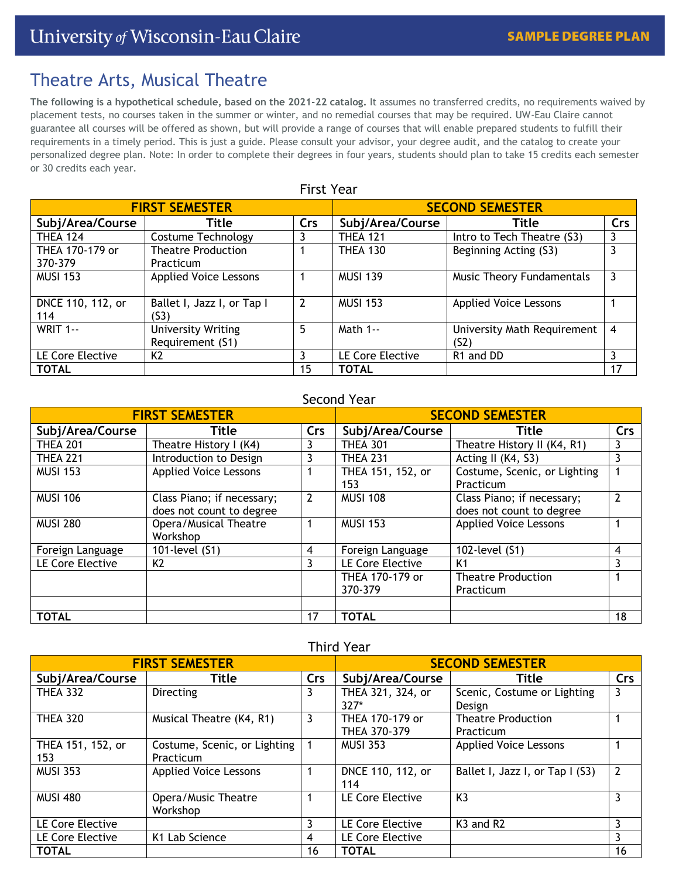# Theatre Arts, Musical Theatre

**The following is a hypothetical schedule, based on the 2021-22 catalog.** It assumes no transferred credits, no requirements waived by placement tests, no courses taken in the summer or winter, and no remedial courses that may be required. UW-Eau Claire cannot guarantee all courses will be offered as shown, but will provide a range of courses that will enable prepared students to fulfill their requirements in a timely period. This is just a guide. Please consult your advisor, your degree audit, and the catalog to create your personalized degree plan. Note: In order to complete their degrees in four years, students should plan to take 15 credits each semester or 30 credits each year.

| <b>First Year</b>     |                              |                |                        |                                  |                |  |
|-----------------------|------------------------------|----------------|------------------------|----------------------------------|----------------|--|
| <b>FIRST SEMESTER</b> |                              |                | <b>SECOND SEMESTER</b> |                                  |                |  |
| Subj/Area/Course      | Title                        | Crs            | Subj/Area/Course       | Title                            | Crs            |  |
| <b>THEA 124</b>       | Costume Technology           |                | <b>THEA 121</b>        | Intro to Tech Theatre (S3)       | 3              |  |
| THEA 170-179 or       | <b>Theatre Production</b>    |                | <b>THEA 130</b>        | Beginning Acting (S3)            | 3              |  |
| 370-379               | Practicum                    |                |                        |                                  |                |  |
| <b>MUSI 153</b>       | <b>Applied Voice Lessons</b> |                | <b>MUSI 139</b>        | <b>Music Theory Fundamentals</b> | 3              |  |
|                       |                              |                |                        |                                  |                |  |
| DNCE 110, 112, or     | Ballet I, Jazz I, or Tap I   | $\overline{2}$ | <b>MUSI 153</b>        | <b>Applied Voice Lessons</b>     |                |  |
| 114                   | (S3)                         |                |                        |                                  |                |  |
| <b>WRIT 1--</b>       | <b>University Writing</b>    | 5              | Math 1--               | University Math Requirement      | $\overline{4}$ |  |
|                       | Requirement (S1)             |                |                        | (S <sub>2</sub> )                |                |  |
| LE Core Elective      | K <sub>2</sub>               | 3              | LE Core Elective       | R1 and DD                        | 3              |  |
| <b>TOTAL</b>          |                              | 15             | <b>TOTAL</b>           |                                  | 17             |  |

# Second Year

| <b>FIRST SEMESTER</b> |                              |            | <b>SECOND SEMESTER</b> |                              |     |
|-----------------------|------------------------------|------------|------------------------|------------------------------|-----|
| Subj/Area/Course      | Title                        | <b>Crs</b> | Subj/Area/Course       | Title                        | Crs |
| <b>THEA 201</b>       | Theatre History I (K4)       | 3          | <b>THEA 301</b>        | Theatre History II (K4, R1)  | 3   |
| <b>THEA 221</b>       | Introduction to Design       | 3          | <b>THEA 231</b>        | Acting II (K4, S3)           | 3   |
| <b>MUSI 153</b>       | <b>Applied Voice Lessons</b> |            | THEA 151, 152, or      | Costume, Scenic, or Lighting |     |
|                       |                              |            | 153                    | Practicum                    |     |
| <b>MUSI 106</b>       | Class Piano; if necessary;   | 2          | <b>MUSI 108</b>        | Class Piano; if necessary;   | 2   |
|                       | does not count to degree     |            |                        | does not count to degree     |     |
| <b>MUSI 280</b>       | Opera/Musical Theatre        |            | <b>MUSI 153</b>        | <b>Applied Voice Lessons</b> |     |
|                       | Workshop                     |            |                        |                              |     |
| Foreign Language      | 101-level (S1)               | 4          | Foreign Language       | 102-level (S1)               | 4   |
| LE Core Elective      | K <sub>2</sub>               | 3          | LE Core Elective       | K <sub>1</sub>               | 3   |
|                       |                              |            | THEA 170-179 or        | <b>Theatre Production</b>    |     |
|                       |                              |            | 370-379                | Practicum                    |     |
|                       |                              |            |                        |                              |     |
| <b>TOTAL</b>          |                              | 17         | <b>TOTAL</b>           |                              | 18  |

# Third Year

| <b>FIRST SEMESTER</b> |                              |     | <b>SECOND SEMESTER</b> |                                   |               |
|-----------------------|------------------------------|-----|------------------------|-----------------------------------|---------------|
| Subj/Area/Course      | Title                        | Crs | Subj/Area/Course       | Title                             | Crs           |
| <b>THEA 332</b>       | Directing                    | 3   | THEA 321, 324, or      | Scenic, Costume or Lighting       | 3             |
|                       |                              |     | $327*$                 | Design                            |               |
| <b>THEA 320</b>       | Musical Theatre (K4, R1)     | 3   | THEA 170-179 or        | <b>Theatre Production</b>         |               |
|                       |                              |     | THEA 370-379           | Practicum                         |               |
| THEA 151, 152, or     | Costume, Scenic, or Lighting |     | <b>MUSI 353</b>        | <b>Applied Voice Lessons</b>      |               |
| 153                   | Practicum                    |     |                        |                                   |               |
| <b>MUSI 353</b>       | <b>Applied Voice Lessons</b> |     | DNCE 110, 112, or      | Ballet I, Jazz I, or Tap I (S3)   | $\mathcal{P}$ |
|                       |                              |     | 114                    |                                   |               |
| <b>MUSI 480</b>       | Opera/Music Theatre          |     | LE Core Elective       | K <sub>3</sub>                    | 3             |
|                       | Workshop                     |     |                        |                                   |               |
| LE Core Elective      |                              | 3   | LE Core Elective       | K <sub>3</sub> and R <sub>2</sub> | 3             |
| LE Core Elective      | K <sub>1</sub> Lab Science   | 4   | LE Core Elective       |                                   | 3             |
| <b>TOTAL</b>          |                              | 16  | <b>TOTAL</b>           |                                   | 16            |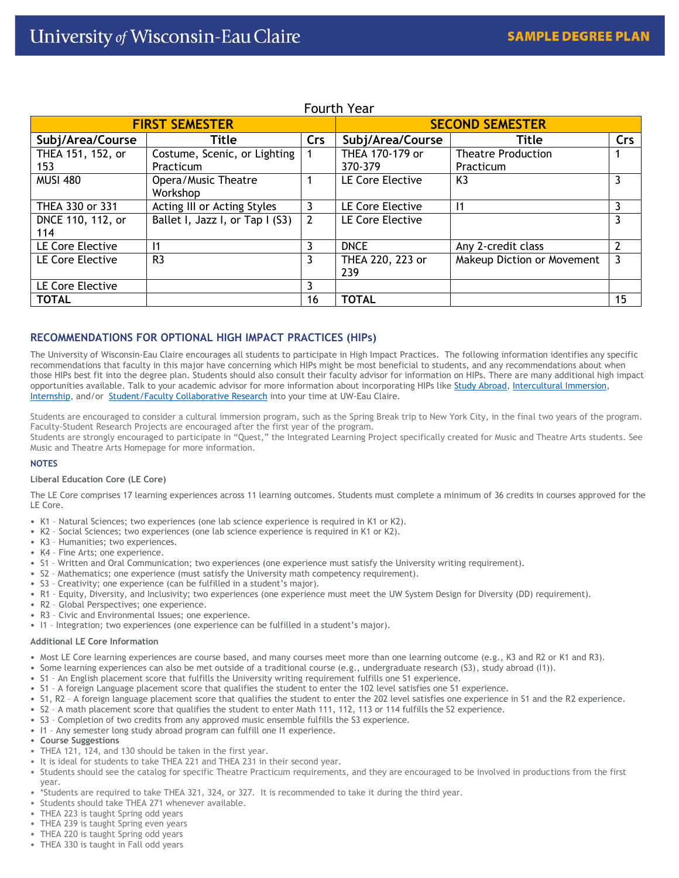| <b>FIRST SEMESTER</b>    |                                 |     | <b>SECOND SEMESTER</b>  |                            |     |
|--------------------------|---------------------------------|-----|-------------------------|----------------------------|-----|
| Subj/Area/Course         | Title                           | Crs | Subj/Area/Course        | Title                      | Crs |
| THEA 151, 152, or        | Costume, Scenic, or Lighting    |     | THEA 170-179 or         | <b>Theatre Production</b>  |     |
| 153                      | Practicum                       |     | 370-379                 | Practicum                  |     |
| <b>MUSI 480</b>          | Opera/Music Theatre<br>Workshop |     | LE Core Elective        | K <sub>3</sub>             | 3   |
| THEA 330 or 331          | Acting III or Acting Styles     | 3   | LE Core Elective        | $\vert$ 1                  | 3   |
| DNCE 110, 112, or<br>114 | Ballet I, Jazz I, or Tap I (S3) | 2   | LE Core Elective        |                            | 3   |
| LE Core Elective         | $\vert$ 1                       | 3   | <b>DNCE</b>             | Any 2-credit class         | 2   |
| LE Core Elective         | R <sub>3</sub>                  | 3   | THEA 220, 223 or<br>239 | Makeup Diction or Movement | 3   |
| LE Core Elective         |                                 | 3   |                         |                            |     |
| <b>TOTAL</b>             |                                 | 16  | <b>TOTAL</b>            |                            | 15  |

# Fourth Year

## **RECOMMENDATIONS FOR OPTIONAL HIGH IMPACT PRACTICES (HIPs)**

The University of Wisconsin-Eau Claire encourages all students to participate in High Impact Practices. The following information identifies any specific recommendations that faculty in this major have concerning which HIPs might be most beneficial to students, and any recommendations about when those HIPs best fit into the degree plan. Students should also consult their faculty advisor for information on HIPs. There are many additional high impact opportunities available. Talk to your academic advisor for more information about incorporating HIPs lik[e Study Abroad,](https://studyabroad.apps.uwec.edu/) [Intercultural Immersion,](https://www.uwec.edu/immersion/) [Internship,](https://www.uwec.edu/career-services/info-students/internships/) and/or [Student/Faculty Collaborative Research](https://www.uwec.edu/orsp/students/student-faculty-collaborative-research-guide/) into your time at UW-Eau Claire.

Students are encouraged to consider a cultural immersion program, such as the Spring Break trip to New York City, in the final two years of the program. Faculty-Student Research Projects are encouraged after the first year of the program.

Students are strongly encouraged to participate in "Quest," the Integrated Learning Project specifically created for Music and Theatre Arts students. See Music and Theatre Arts Homepage for more information.

### **NOTES**

### **Liberal Education Core (LE Core)**

The LE Core comprises 17 learning experiences across 11 learning outcomes. Students must complete a minimum of 36 credits in courses approved for the LE Core.

- K1 Natural Sciences; two experiences (one lab science experience is required in K1 or K2).
- K2 Social Sciences; two experiences (one lab science experience is required in K1 or K2).
- K3 Humanities; two experiences.
- K4 Fine Arts; one experience.
- S1 Written and Oral Communication; two experiences (one experience must satisfy the University writing requirement).
- S2 Mathematics; one experience (must satisfy the University math competency requirement).
- S3 Creativity; one experience (can be fulfilled in a student's major).
- R1 Equity, Diversity, and Inclusivity; two experiences (one experience must meet the UW System Design for Diversity (DD) requirement).
- R2 Global Perspectives; one experience.
- R3 Civic and Environmental Issues; one experience.
- I1 Integration; two experiences (one experience can be fulfilled in a student's major).

### **Additional LE Core Information**

- Most LE Core learning experiences are course based, and many courses meet more than one learning outcome (e.g., K3 and R2 or K1 and R3).
- Some learning experiences can also be met outside of a traditional course (e.g., undergraduate research (S3), study abroad (I1)).
- S1 An English placement score that fulfills the University writing requirement fulfills one S1 experience.
- S1 A foreign Language placement score that qualifies the student to enter the 102 level satisfies one S1 experience.
- S1, R2 A foreign language placement score that qualifies the student to enter the 202 level satisfies one experience in S1 and the R2 experience.
- S2 A math placement score that qualifies the student to enter Math 111, 112, 113 or 114 fulfills the S2 experience.
- S3 Completion of two credits from any approved music ensemble fulfills the S3 experience.
- I1 Any semester long study abroad program can fulfill one I1 experience.
- **Course Suggestions**
- THEA 121, 124, and 130 should be taken in the first year.
- It is ideal for students to take THEA 221 and THEA 231 in their second year.
- Students should see the catalog for specific Theatre Practicum requirements, and they are encouraged to be involved in productions from the first
- year. • \*Students are required to take THEA 321, 324, or 327. It is recommended to take it during the third year.
- Students should take THEA 271 whenever available.
- THEA 223 is taught Spring odd years
- THEA 239 is taught Spring even years
- THEA 220 is taught Spring odd years
- THEA 330 is taught in Fall odd years